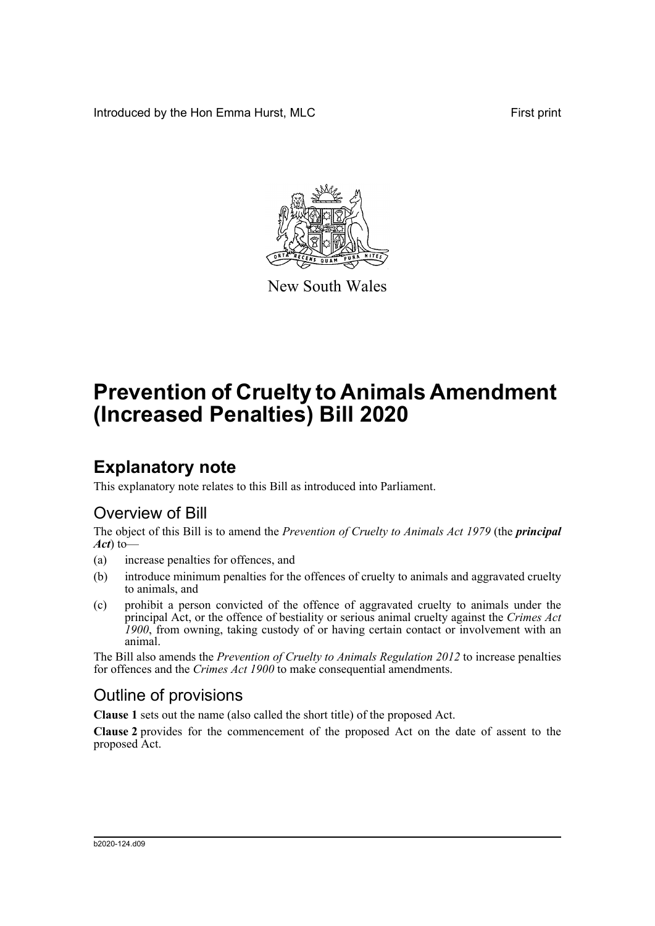Introduced by the Hon Emma Hurst, MLC First print



New South Wales

# **Prevention of Cruelty to Animals Amendment (Increased Penalties) Bill 2020**

## **Explanatory note**

This explanatory note relates to this Bill as introduced into Parliament.

## Overview of Bill

The object of this Bill is to amend the *Prevention of Cruelty to Animals Act 1979* (the *principal Act*) to—

- (a) increase penalties for offences, and
- (b) introduce minimum penalties for the offences of cruelty to animals and aggravated cruelty to animals, and
- (c) prohibit a person convicted of the offence of aggravated cruelty to animals under the principal Act, or the offence of bestiality or serious animal cruelty against the *Crimes Act 1900*, from owning, taking custody of or having certain contact or involvement with an animal.

The Bill also amends the *Prevention of Cruelty to Animals Regulation 2012* to increase penalties for offences and the *Crimes Act 1900* to make consequential amendments.

## Outline of provisions

**Clause 1** sets out the name (also called the short title) of the proposed Act.

**Clause 2** provides for the commencement of the proposed Act on the date of assent to the proposed Act.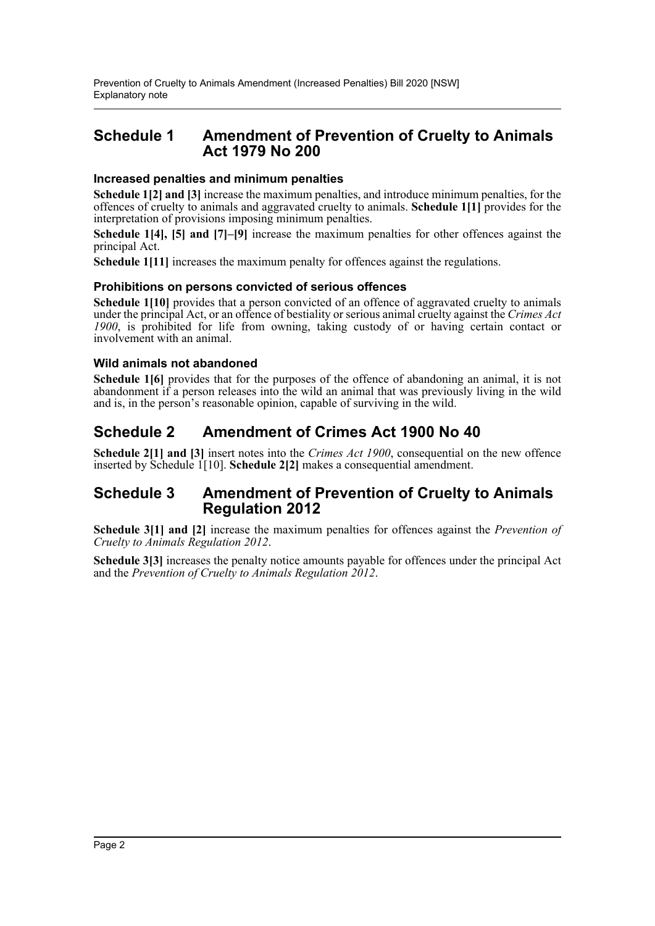### **Schedule 1 Amendment of Prevention of Cruelty to Animals Act 1979 No 200**

### **Increased penalties and minimum penalties**

**Schedule 1[2] and [3]** increase the maximum penalties, and introduce minimum penalties, for the offences of cruelty to animals and aggravated cruelty to animals. **Schedule 1[1]** provides for the interpretation of provisions imposing minimum penalties.

**Schedule 1[4], [5] and [7]–[9]** increase the maximum penalties for other offences against the principal Act.

**Schedule 1[11]** increases the maximum penalty for offences against the regulations.

### **Prohibitions on persons convicted of serious offences**

**Schedule 1[10]** provides that a person convicted of an offence of aggravated cruelty to animals under the principal Act, or an offence of bestiality or serious animal cruelty against the *Crimes Act 1900*, is prohibited for life from owning, taking custody of or having certain contact or involvement with an animal.

### **Wild animals not abandoned**

**Schedule 1[6]** provides that for the purposes of the offence of abandoning an animal, it is not abandonment if a person releases into the wild an animal that was previously living in the wild and is, in the person's reasonable opinion, capable of surviving in the wild.

### **Schedule 2 Amendment of Crimes Act 1900 No 40**

**Schedule 2[1] and [3]** insert notes into the *Crimes Act 1900*, consequential on the new offence inserted by Schedule 1[10]. **Schedule 2[2]** makes a consequential amendment.

### **Schedule 3 Amendment of Prevention of Cruelty to Animals Regulation 2012**

**Schedule 3[1] and [2]** increase the maximum penalties for offences against the *Prevention of Cruelty to Animals Regulation 2012*.

**Schedule 3[3]** increases the penalty notice amounts payable for offences under the principal Act and the *Prevention of Cruelty to Animals Regulation 2012*.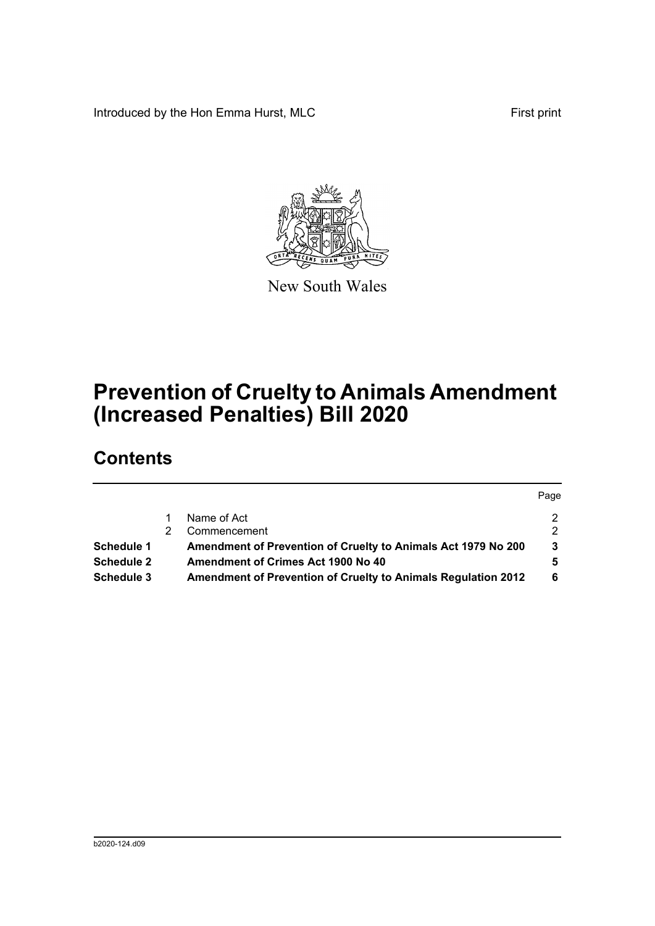Introduced by the Hon Emma Hurst, MLC First print



New South Wales

# **Prevention of Cruelty to Animals Amendment (Increased Penalties) Bill 2020**

## **Contents**

|                   |                                                               | Page          |
|-------------------|---------------------------------------------------------------|---------------|
|                   | Name of Act                                                   |               |
|                   | Commencement                                                  | $\mathcal{P}$ |
| <b>Schedule 1</b> | Amendment of Prevention of Cruelty to Animals Act 1979 No 200 | 3             |
| <b>Schedule 2</b> | Amendment of Crimes Act 1900 No 40                            | 5.            |
| Schedule 3        | Amendment of Prevention of Cruelty to Animals Regulation 2012 | 6             |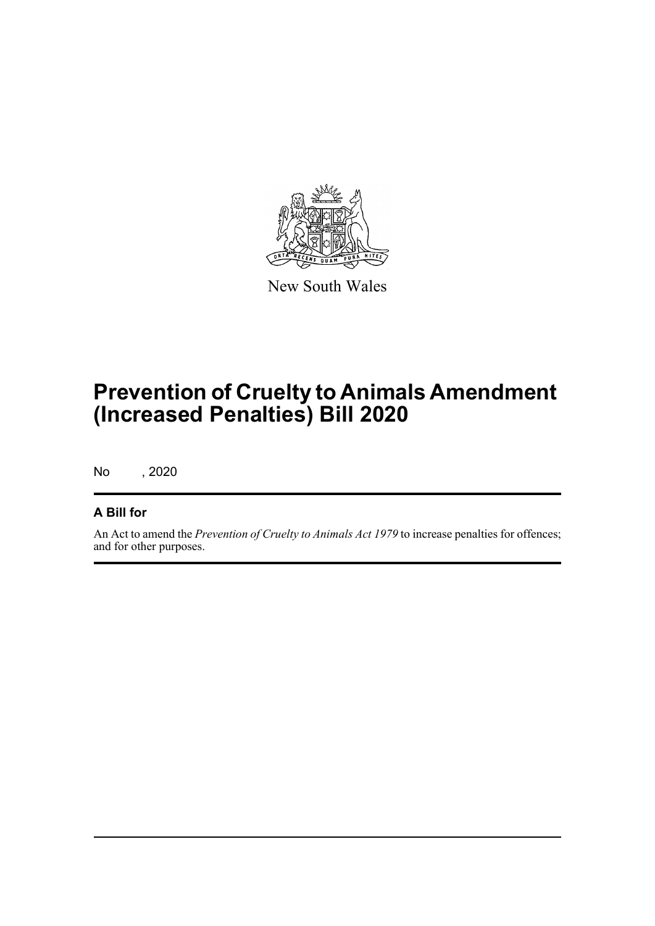

New South Wales

# **Prevention of Cruelty to Animals Amendment (Increased Penalties) Bill 2020**

No , 2020

### **A Bill for**

An Act to amend the *Prevention of Cruelty to Animals Act 1979* to increase penalties for offences; and for other purposes.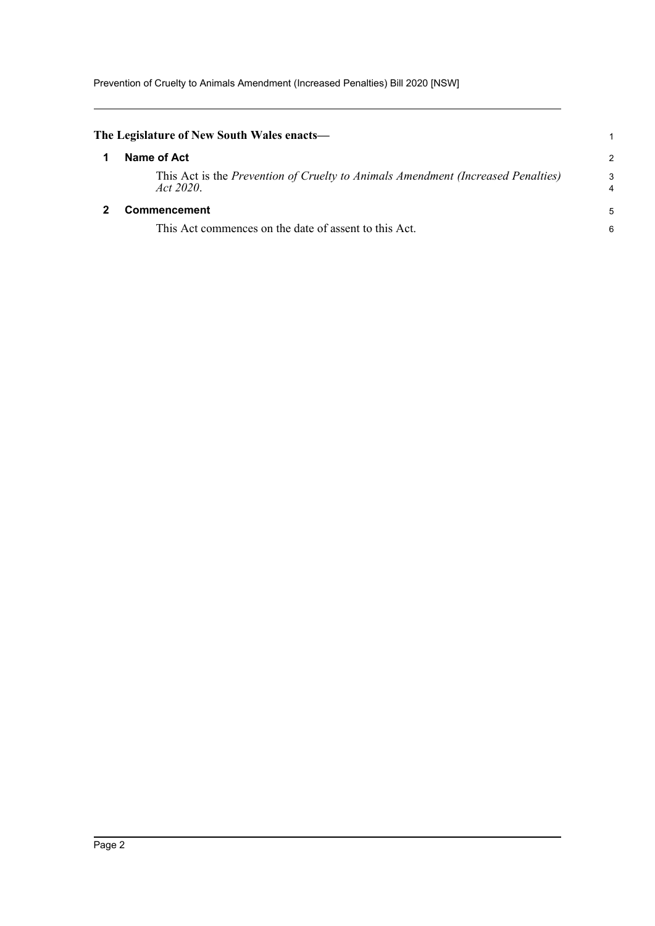<span id="page-4-1"></span><span id="page-4-0"></span>

| The Legislature of New South Wales enacts—                                                    |        |  |  |
|-----------------------------------------------------------------------------------------------|--------|--|--|
| Name of Act                                                                                   | 2      |  |  |
| This Act is the Prevention of Cruelty to Animals Amendment (Increased Penalties)<br>Act 2020. | 3<br>4 |  |  |
| <b>Commencement</b>                                                                           | 5      |  |  |
| This Act commences on the date of assent to this Act.                                         | 6      |  |  |
|                                                                                               |        |  |  |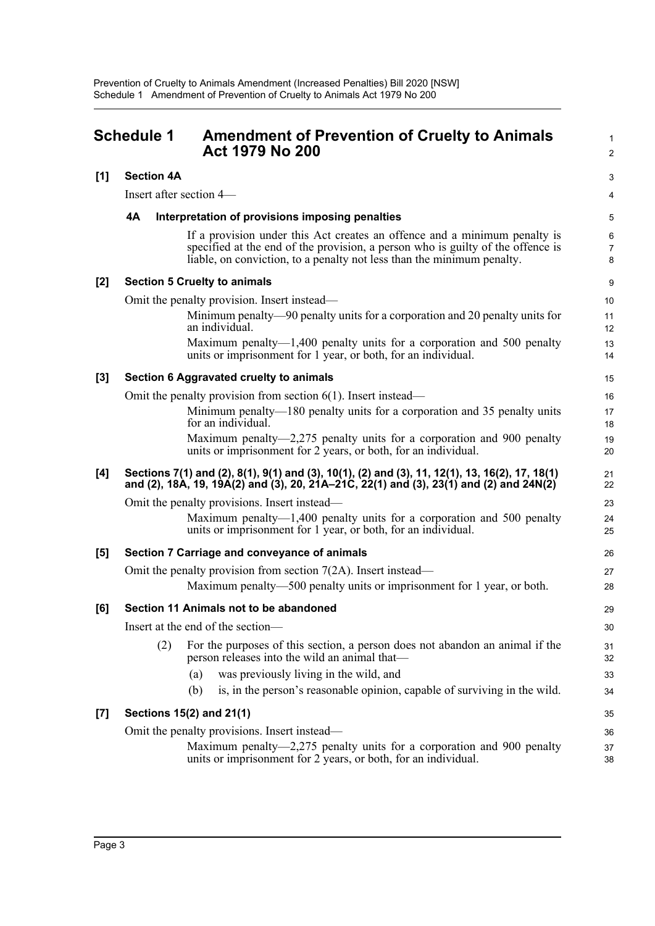<span id="page-5-0"></span>

|                  | <b>Schedule 1</b>                                                | <b>Amendment of Prevention of Cruelty to Animals</b><br><b>Act 1979 No 200</b>                                                                                                                                                         | $\mathbf{1}$<br>$\overline{c}$ |  |  |
|------------------|------------------------------------------------------------------|----------------------------------------------------------------------------------------------------------------------------------------------------------------------------------------------------------------------------------------|--------------------------------|--|--|
| [1]              | <b>Section 4A</b>                                                |                                                                                                                                                                                                                                        | 3                              |  |  |
|                  | Insert after section 4—                                          |                                                                                                                                                                                                                                        |                                |  |  |
|                  | 4A                                                               | Interpretation of provisions imposing penalties                                                                                                                                                                                        | $\mathbf 5$                    |  |  |
|                  |                                                                  | If a provision under this Act creates an offence and a minimum penalty is<br>specified at the end of the provision, a person who is guilty of the offence is<br>liable, on conviction, to a penalty not less than the minimum penalty. | 6<br>$\overline{7}$<br>8       |  |  |
| [2]              |                                                                  | <b>Section 5 Cruelty to animals</b>                                                                                                                                                                                                    | 9                              |  |  |
|                  |                                                                  | Omit the penalty provision. Insert instead—                                                                                                                                                                                            |                                |  |  |
|                  |                                                                  | Minimum penalty—90 penalty units for a corporation and 20 penalty units for<br>an individual.                                                                                                                                          | 11<br>12                       |  |  |
|                  |                                                                  | Maximum penalty—1,400 penalty units for a corporation and 500 penalty<br>units or imprisonment for 1 year, or both, for an individual.                                                                                                 | 13<br>14                       |  |  |
| $[3]$            |                                                                  | Section 6 Aggravated cruelty to animals                                                                                                                                                                                                | 15                             |  |  |
|                  | Omit the penalty provision from section $6(1)$ . Insert instead— |                                                                                                                                                                                                                                        |                                |  |  |
|                  |                                                                  | Minimum penalty—180 penalty units for a corporation and 35 penalty units<br>for an individual.                                                                                                                                         | 17<br>18                       |  |  |
|                  |                                                                  | Maximum penalty—2,275 penalty units for a corporation and 900 penalty<br>units or imprisonment for 2 years, or both, for an individual.                                                                                                | 19<br>20                       |  |  |
| [4]              |                                                                  | Sections 7(1) and (2), 8(1), 9(1) and (3), 10(1), (2) and (3), 11, 12(1), 13, 16(2), 17, 18(1)<br>and (2), 18A, 19, 19A(2) and (3), 20, 21A–21C, 22(1) and (3), 23(1) and (2) and 24N(2)                                               | 21<br>22                       |  |  |
|                  |                                                                  | Omit the penalty provisions. Insert instead—                                                                                                                                                                                           | 23                             |  |  |
|                  |                                                                  | Maximum penalty— $1,400$ penalty units for a corporation and 500 penalty<br>units or imprisonment for 1 year, or both, for an individual.                                                                                              | 24<br>25                       |  |  |
| [5]              |                                                                  | Section 7 Carriage and conveyance of animals                                                                                                                                                                                           | 26                             |  |  |
|                  |                                                                  | Omit the penalty provision from section $7(2A)$ . Insert instead—                                                                                                                                                                      | 27                             |  |  |
|                  |                                                                  | Maximum penalty—500 penalty units or imprisonment for 1 year, or both.                                                                                                                                                                 | 28                             |  |  |
| [6]              |                                                                  | Section 11 Animals not to be abandoned                                                                                                                                                                                                 | 29                             |  |  |
|                  |                                                                  | Insert at the end of the section-                                                                                                                                                                                                      |                                |  |  |
|                  | (2)                                                              | For the purposes of this section, a person does not abandon an animal if the<br>person releases into the wild an animal that—                                                                                                          | 31<br>32                       |  |  |
|                  |                                                                  | (a)<br>was previously living in the wild, and                                                                                                                                                                                          | 33                             |  |  |
|                  |                                                                  | is, in the person's reasonable opinion, capable of surviving in the wild.<br>(b)                                                                                                                                                       | 34                             |  |  |
| $\left[7\right]$ |                                                                  | Sections 15(2) and 21(1)                                                                                                                                                                                                               | 35                             |  |  |
|                  |                                                                  | Omit the penalty provisions. Insert instead-                                                                                                                                                                                           |                                |  |  |
|                  |                                                                  | Maximum penalty—2,275 penalty units for a corporation and 900 penalty<br>units or imprisonment for 2 years, or both, for an individual.                                                                                                | 37<br>38                       |  |  |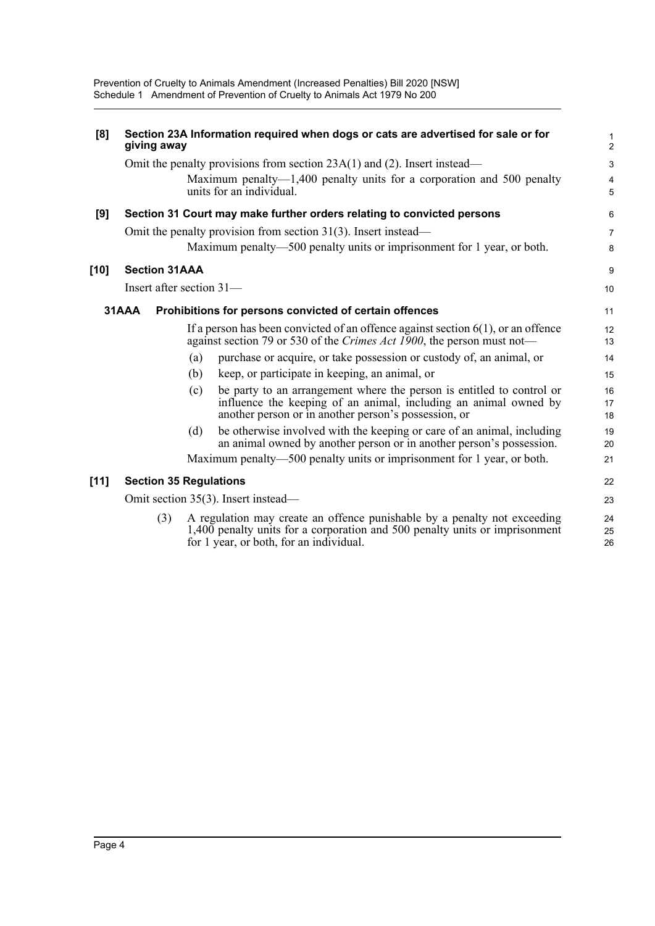| [8]    | giving away                         |     | Section 23A Information required when dogs or cats are advertised for sale or for                                                                                                                  | $\mathbf{1}$<br>$\overline{2}$ |
|--------|-------------------------------------|-----|----------------------------------------------------------------------------------------------------------------------------------------------------------------------------------------------------|--------------------------------|
|        |                                     |     | Omit the penalty provisions from section $23A(1)$ and (2). Insert instead—                                                                                                                         | $\mathbf{3}$                   |
|        |                                     |     | Maximum penalty—1,400 penalty units for a corporation and 500 penalty<br>units for an individual.                                                                                                  | $\overline{\mathbf{4}}$<br>5   |
| [9]    |                                     |     | Section 31 Court may make further orders relating to convicted persons                                                                                                                             | 6                              |
|        |                                     |     | Omit the penalty provision from section $31(3)$ . Insert instead—                                                                                                                                  | $\overline{7}$                 |
|        |                                     |     | Maximum penalty—500 penalty units or imprisonment for 1 year, or both.                                                                                                                             | 8                              |
| [10]   | <b>Section 31AAA</b>                |     |                                                                                                                                                                                                    | 9                              |
|        | Insert after section $31-$          |     |                                                                                                                                                                                                    | 10                             |
|        | 31AAA                               |     | Prohibitions for persons convicted of certain offences                                                                                                                                             | 11                             |
|        |                                     |     | If a person has been convicted of an offence against section $6(1)$ , or an offence<br>against section 79 or 530 of the Crimes Act 1900, the person must not—                                      | 12<br>13                       |
|        |                                     | (a) | purchase or acquire, or take possession or custody of, an animal, or                                                                                                                               | 14                             |
|        |                                     | (b) | keep, or participate in keeping, an animal, or                                                                                                                                                     | 15                             |
|        |                                     | (c) | be party to an arrangement where the person is entitled to control or<br>influence the keeping of an animal, including an animal owned by<br>another person or in another person's possession, or  | 16<br>17<br>18                 |
|        |                                     | (d) | be otherwise involved with the keeping or care of an animal, including<br>an animal owned by another person or in another person's possession.                                                     | 19<br>20                       |
|        |                                     |     | Maximum penalty—500 penalty units or imprisonment for 1 year, or both.                                                                                                                             | 21                             |
| $[11]$ | <b>Section 35 Regulations</b>       |     |                                                                                                                                                                                                    | 22                             |
|        | Omit section 35(3). Insert instead— |     |                                                                                                                                                                                                    | 23                             |
|        | (3)                                 |     | A regulation may create an offence punishable by a penalty not exceeding<br>1,400 penalty units for a corporation and 500 penalty units or imprisonment<br>for 1 year, or both, for an individual. | 24<br>25<br>26                 |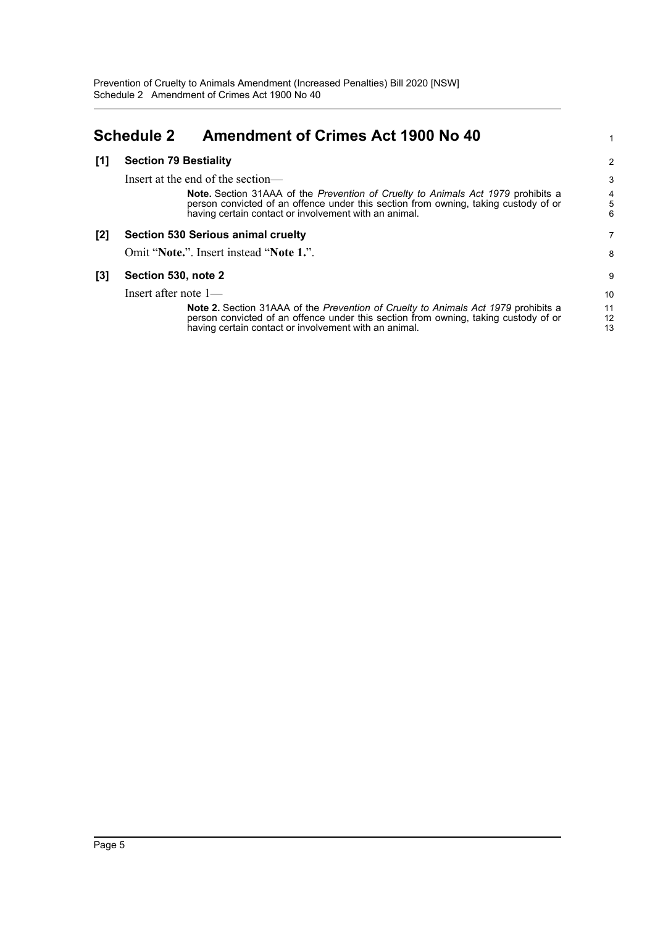## <span id="page-7-0"></span>**Schedule 2 Amendment of Crimes Act 1900 No 40**

#### **[1] Section 79 Bestiality**

Insert at the end of the section— **Note.** Section 31AAA of the *Prevention of Cruelty to Animals Act 1979* prohibits a person convicted of an offence under this section from owning, taking custody of or having certain contact or involvement with an animal. **[2] Section 530 Serious animal cruelty** Omit "**Note.**". Insert instead "**Note 1.**". 3 4 5 6 7 8

#### **[3] Section 530, note 2**

Insert after note 1—

**Note 2.** Section 31AAA of the *Prevention of Cruelty to Animals Act 1979* prohibits a person convicted of an offence under this section from owning, taking custody of or having certain contact or involvement with an animal.

1

2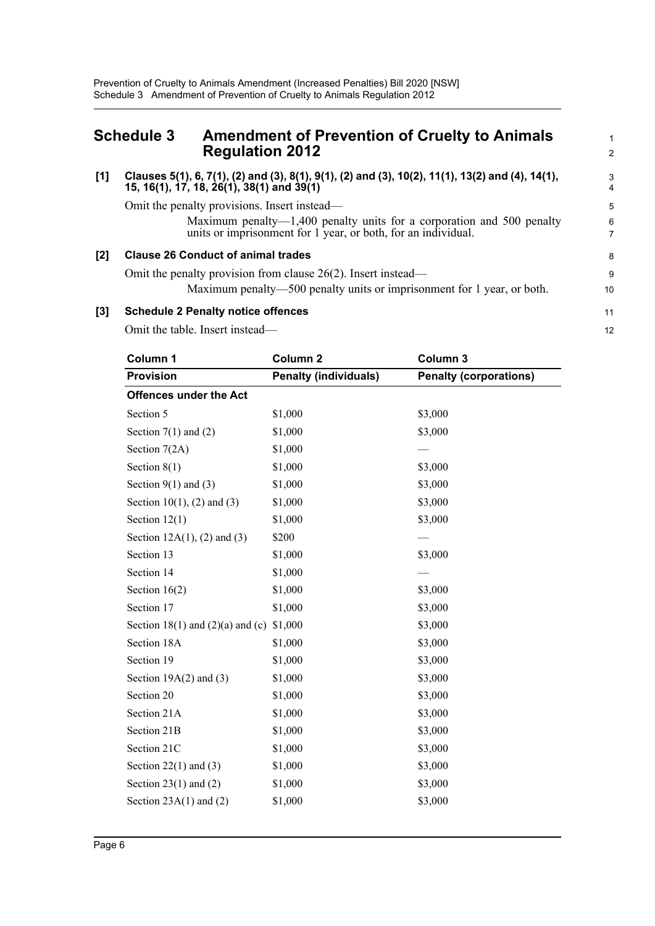### <span id="page-8-0"></span>**Schedule 3 Amendment of Prevention of Cruelty to Animals Regulation 2012**

#### **[1] Clauses 5(1), 6, 7(1), (2) and (3), 8(1), 9(1), (2) and (3), 10(2), 11(1), 13(2) and (4), 14(1), 15, 16(1), 17, 18, 26(1), 38(1) and 39(1)**

Omit the penalty provisions. Insert instead—

Maximum penalty—1,400 penalty units for a corporation and 500 penalty units or imprisonment for 1 year, or both, for an individual.

1 2

#### **[2] Clause 26 Conduct of animal trades**

Omit the penalty provision from clause 26(2). Insert instead— Maximum penalty—500 penalty units or imprisonment for 1 year, or both.

#### **[3] Schedule 2 Penalty notice offences**

Omit the table. Insert instead—

| Column 1                             | Column <sub>2</sub>          | Column 3                      |
|--------------------------------------|------------------------------|-------------------------------|
| <b>Provision</b>                     | <b>Penalty (individuals)</b> | <b>Penalty (corporations)</b> |
| <b>Offences under the Act</b>        |                              |                               |
| Section 5                            | \$1,000                      | \$3,000                       |
| Section $7(1)$ and $(2)$             | \$1,000                      | \$3,000                       |
| Section 7(2A)                        | \$1,000                      |                               |
| Section $8(1)$                       | \$1,000                      | \$3,000                       |
| Section $9(1)$ and $(3)$             | \$1,000                      | \$3,000                       |
| Section $10(1)$ , (2) and (3)        | \$1,000                      | \$3,000                       |
| Section $12(1)$                      | \$1,000                      | \$3,000                       |
| Section $12A(1)$ , (2) and (3)       | \$200                        |                               |
| Section 13                           | \$1,000                      | \$3,000                       |
| Section 14                           | \$1,000                      |                               |
| Section $16(2)$                      | \$1,000                      | \$3,000                       |
| Section 17                           | \$1,000                      | \$3,000                       |
| Section 18(1) and $(2)(a)$ and $(c)$ | \$1,000                      | \$3,000                       |
| Section 18A                          | \$1,000                      | \$3,000                       |
| Section 19                           | \$1,000                      | \$3,000                       |
| Section $19A(2)$ and $(3)$           | \$1,000                      | \$3,000                       |
| Section 20                           | \$1,000                      | \$3,000                       |
| Section 21A                          | \$1,000                      | \$3,000                       |
| Section 21B                          | \$1,000                      | \$3,000                       |
| Section 21C                          | \$1,000                      | \$3,000                       |
| Section $22(1)$ and $(3)$            | \$1,000                      | \$3,000                       |
| Section $23(1)$ and $(2)$            | \$1,000                      | \$3,000                       |
| Section $23A(1)$ and $(2)$           | \$1,000                      | \$3,000                       |